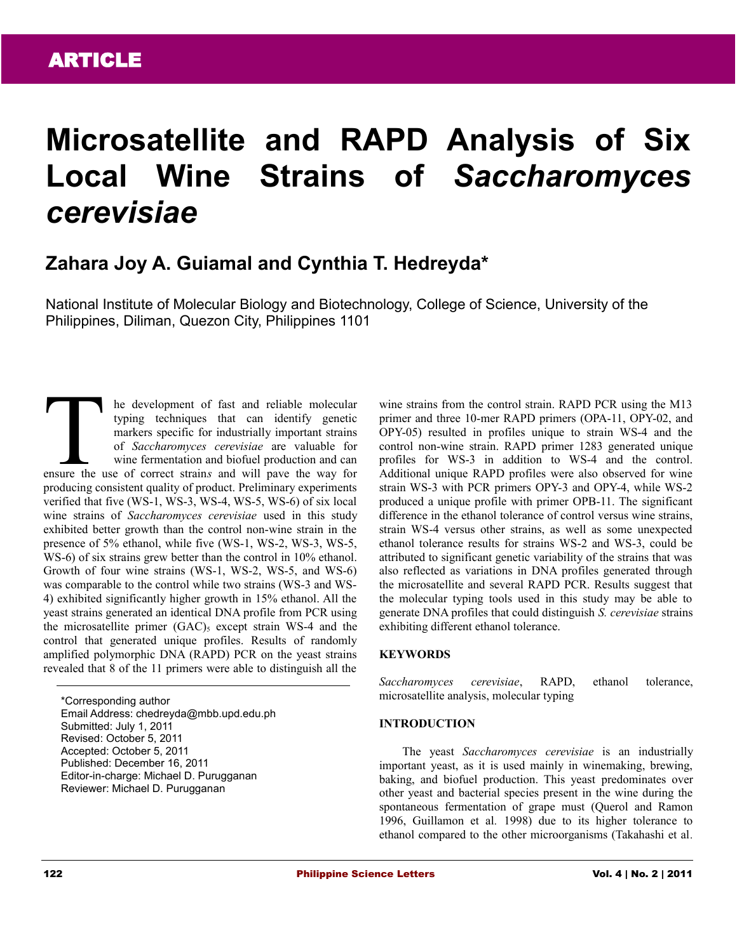# **Microsatellite and RAPD Analysis of Six Local Wine Strains of** *Saccharomyces cerevisiae*

# **Zahara Joy A. Guiamal and Cynthia T. Hedreyda\***

National Institute of Molecular Biology and Biotechnology, College of Science, University of the Philippines, Diliman, Quezon City, Philippines 1101

he development of fast and reliable molecular typing techniques that can identify genetic markers specific for industrially important strains of *Saccharomyces cerevisiae* are valuable for wine fermentation and biofuel production and can end a development of fast and reliable molecular<br>typing techniques that can identify genetic<br>markers specific for industrially important strains<br>of *Saccharomyces cerevisiae* are valuable for<br>wine fermentation and biofuel producing consistent quality of product. Preliminary experiments verified that five (WS-1, WS-3, WS-4, WS-5, WS-6) of six local wine strains of *Saccharomyces cerevisiae* used in this study exhibited better growth than the control non-wine strain in the presence of 5% ethanol, while five (WS-1, WS-2, WS-3, WS-5, WS-6) of six strains grew better than the control in 10% ethanol. Growth of four wine strains (WS-1, WS-2, WS-5, and WS-6) was comparable to the control while two strains (WS-3 and WS-4) exhibited significantly higher growth in 15% ethanol. All the yeast strains generated an identical DNA profile from PCR using the microsatellite primer  $(GAC)$ <sub>5</sub> except strain WS-4 and the control that generated unique profiles. Results of randomly amplified polymorphic DNA (RAPD) PCR on the yeast strains revealed that 8 of the 11 primers were able to distinguish all the

\*Corresponding author Email Address: chedreyda@mbb.upd.edu.ph Submitted: July 1, 2011 Revised: October 5, 2011 Accepted: October 5, 2011 Published: December 16, 2011 Editor-in-charge: Michael D. Purugganan Reviewer: Michael D. Purugganan

wine strains from the control strain. RAPD PCR using the M13 primer and three 10-mer RAPD primers (OPA-11, OPY-02, and OPY-05) resulted in profiles unique to strain WS-4 and the control non-wine strain. RAPD primer 1283 generated unique profiles for WS-3 in addition to WS-4 and the control. Additional unique RAPD profiles were also observed for wine strain WS-3 with PCR primers OPY-3 and OPY-4, while WS-2 produced a unique profile with primer OPB-11. The significant difference in the ethanol tolerance of control versus wine strains, strain WS-4 versus other strains, as well as some unexpected ethanol tolerance results for strains WS-2 and WS-3, could be attributed to significant genetic variability of the strains that was also reflected as variations in DNA profiles generated through the microsatellite and several RAPD PCR. Results suggest that the molecular typing tools used in this study may be able to generate DNA profiles that could distinguish *S. cerevisiae* strains exhibiting different ethanol tolerance.

# **KEYWORDS**

*Saccharomyces cerevisiae*, RAPD, ethanol tolerance, microsatellite analysis, molecular typing

#### **INTRODUCTION**

The yeast *Saccharomyces cerevisiae* is an industrially important yeast, as it is used mainly in winemaking, brewing, baking, and biofuel production. This yeast predominates over other yeast and bacterial species present in the wine during the spontaneous fermentation of grape must (Querol and Ramon 1996, Guillamon et al*.* 1998) due to its higher tolerance to ethanol compared to the other microorganisms (Takahashi et al*.*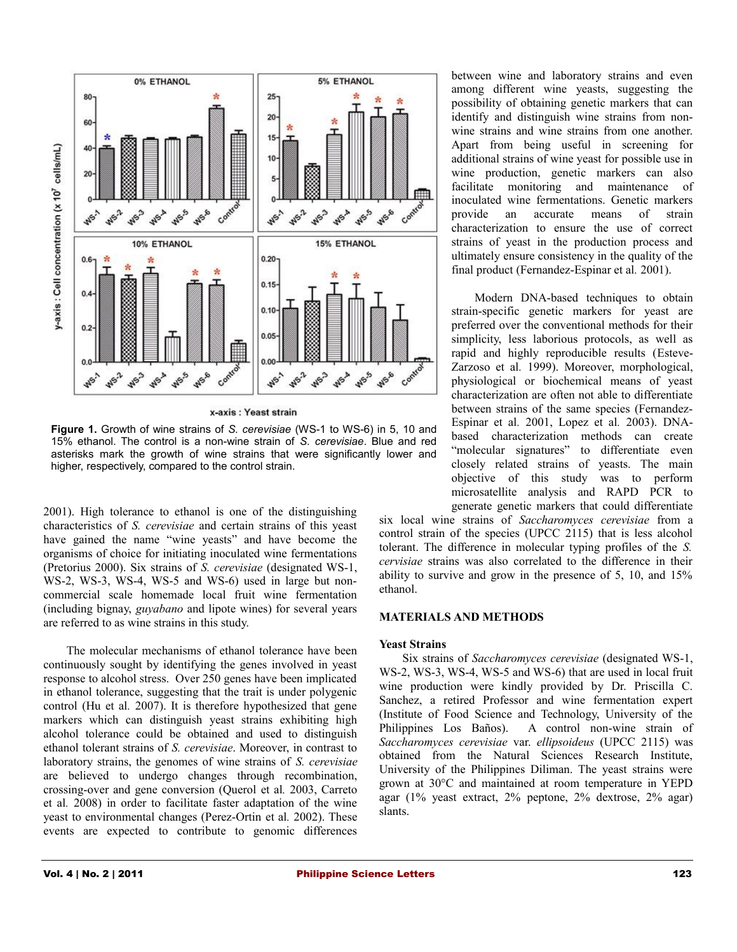

x-axis : Yeast strain

**Figure 1.** Growth of wine strains of *S. cerevisiae* (WS-1 to WS-6) in 5, 10 and 15% ethanol. The control is a non-wine strain of *S. cerevisiae*. Blue and red asterisks mark the growth of wine strains that were significantly lower and higher, respectively, compared to the control strain.

2001). High tolerance to ethanol is one of the distinguishing characteristics of *S. cerevisiae* and certain strains of this yeast have gained the name "wine yeasts" and have become the organisms of choice for initiating inoculated wine fermentations (Pretorius 2000). Six strains of *S. cerevisiae* (designated WS-1, WS-2, WS-3, WS-4, WS-5 and WS-6) used in large but noncommercial scale homemade local fruit wine fermentation (including bignay, *guyabano* and lipote wines) for several years are referred to as wine strains in this study.

The molecular mechanisms of ethanol tolerance have been continuously sought by identifying the genes involved in yeast response to alcohol stress. Over 250 genes have been implicated in ethanol tolerance, suggesting that the trait is under polygenic control (Hu et al*.* 2007). It is therefore hypothesized that gene markers which can distinguish yeast strains exhibiting high alcohol tolerance could be obtained and used to distinguish ethanol tolerant strains of *S. cerevisiae*. Moreover, in contrast to laboratory strains, the genomes of wine strains of *S. cerevisiae* are believed to undergo changes through recombination, crossing-over and gene conversion (Querol et al*.* 2003, Carreto et al*.* 2008) in order to facilitate faster adaptation of the wine yeast to environmental changes (Perez-Ortin et al*.* 2002). These events are expected to contribute to genomic differences

between wine and laboratory strains and even among different wine yeasts, suggesting the possibility of obtaining genetic markers that can identify and distinguish wine strains from nonwine strains and wine strains from one another. Apart from being useful in screening for additional strains of wine yeast for possible use in wine production, genetic markers can also facilitate monitoring and maintenance of inoculated wine fermentations. Genetic markers provide an accurate means of strain characterization to ensure the use of correct strains of yeast in the production process and ultimately ensure consistency in the quality of the final product (Fernandez-Espinar et al*.* 2001).

Modern DNA-based techniques to obtain strain-specific genetic markers for yeast are preferred over the conventional methods for their simplicity, less laborious protocols, as well as rapid and highly reproducible results (Esteve-Zarzoso et al*.* 1999). Moreover, morphological, physiological or biochemical means of yeast characterization are often not able to differentiate between strains of the same species (Fernandez-Espinar et al*.* 2001, Lopez et al*.* 2003). DNAbased characterization methods can create "molecular signatures" to differentiate even closely related strains of yeasts. The main objective of this study was to perform microsatellite analysis and RAPD PCR to generate genetic markers that could differentiate

six local wine strains of *Saccharomyces cerevisiae* from a control strain of the species (UPCC 2115) that is less alcohol tolerant. The difference in molecular typing profiles of the *S. cervisiae* strains was also correlated to the difference in their ability to survive and grow in the presence of 5, 10, and 15% ethanol.

#### **MATERIALS AND METHODS**

#### **Yeast Strains**

Six strains of *Saccharomyces cerevisiae* (designated WS-1, WS-2, WS-3, WS-4, WS-5 and WS-6) that are used in local fruit wine production were kindly provided by Dr. Priscilla C. Sanchez, a retired Professor and wine fermentation expert (Institute of Food Science and Technology, University of the Philippines Los Baños). A control non-wine strain of *Saccharomyces cerevisiae* var. *ellipsoideus* (UPCC 2115) was obtained from the Natural Sciences Research Institute, University of the Philippines Diliman. The yeast strains were grown at 30°C and maintained at room temperature in YEPD agar (1% yeast extract, 2% peptone, 2% dextrose, 2% agar) slants.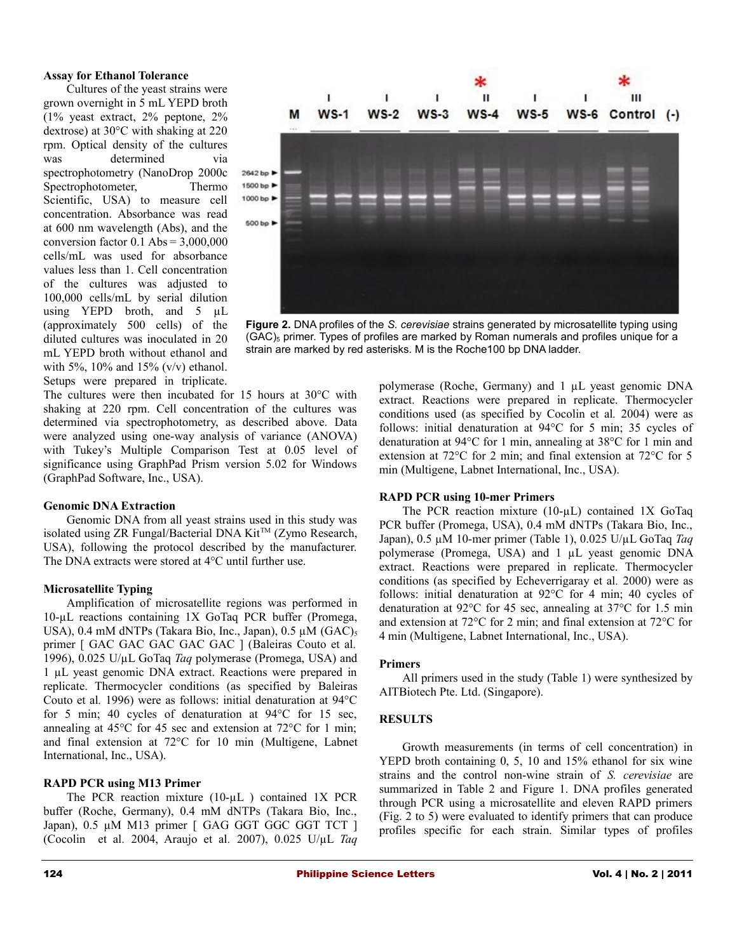#### **Assay for Ethanol Tolerance**

Cultures of the yeast strains were grown overnight in 5 mL YEPD broth (1% yeast extract, 2% peptone, 2% dextrose) at 30°C with shaking at 220 rpm. Optical density of the cultures was determined via spectrophotometry (NanoDrop 2000c Spectrophotometer, Thermo Scientific, USA) to measure cell concentration. Absorbance was read at 600 nm wavelength (Abs), and the conversion factor  $0.1$  Abs =  $3,000,000$ cells/mL was used for absorbance values less than 1. Cell concentration of the cultures was adjusted to 100,000 cells/mL by serial dilution using YEPD broth, and 5 µL (approximately 500 cells) of the diluted cultures was inoculated in 20 mL YEPD broth without ethanol and with 5%,  $10\%$  and 15% (v/v) ethanol. Setups were prepared in triplicate.



**Figure 2.** DNA profiles of the *S. cerevisiae* strains generated by microsatellite typing using  $(GAC)$ <sub>5</sub> primer. Types of profiles are marked by Roman numerals and profiles unique for a strain are marked by red asterisks. M is the Roche100 bp DNA ladder.

The cultures were then incubated for 15 hours at 30°C with shaking at 220 rpm. Cell concentration of the cultures was determined via spectrophotometry, as described above. Data were analyzed using one-way analysis of variance (ANOVA) with Tukey's Multiple Comparison Test at 0.05 level of significance using GraphPad Prism version 5.02 for Windows (GraphPad Software, Inc., USA).

#### **Genomic DNA Extraction**

Genomic DNA from all yeast strains used in this study was isolated using ZR Fungal/Bacterial DNA Kit<sup>TM</sup> (Zymo Research, USA), following the protocol described by the manufacturer. The DNA extracts were stored at 4°C until further use.

#### **Microsatellite Typing**

Amplification of microsatellite regions was performed in 10-µL reactions containing 1X GoTaq PCR buffer (Promega, USA),  $0.4$  mM dNTPs (Takara Bio, Inc., Japan),  $0.5 \mu M$  (GAC)<sub>5</sub> primer [ GAC GAC GAC GAC GAC ] (Baleiras Couto et al. 1996), 0.025 U/µL GoTaq *Taq* polymerase (Promega, USA) and 1 µL yeast genomic DNA extract. Reactions were prepared in replicate. Thermocycler conditions (as specified by Baleiras Couto et al*.* 1996) were as follows: initial denaturation at 94°C for 5 min; 40 cycles of denaturation at 94°C for 15 sec, annealing at 45°C for 45 sec and extension at 72°C for 1 min; and final extension at 72°C for 10 min (Multigene, Labnet International, Inc., USA).

#### **RAPD PCR using M13 Primer**

The PCR reaction mixture (10-µL) contained 1X PCR buffer (Roche, Germany), 0.4 mM dNTPs (Takara Bio, Inc., Japan), 0.5 µM M13 primer [ GAG GGT GGC GGT TCT ] (Cocolin et al*.* 2004, Araujo et al*.* 2007), 0.025 U/µL *Taq* polymerase (Roche, Germany) and 1 µL yeast genomic DNA extract. Reactions were prepared in replicate. Thermocycler conditions used (as specified by Cocolin et al*.* 2004) were as follows: initial denaturation at 94°C for 5 min; 35 cycles of denaturation at 94°C for 1 min, annealing at 38°C for 1 min and extension at 72°C for 2 min; and final extension at 72°C for 5 min (Multigene, Labnet International, Inc., USA).

#### **RAPD PCR using 10-mer Primers**

The PCR reaction mixture (10-µL) contained 1X GoTaq PCR buffer (Promega, USA), 0.4 mM dNTPs (Takara Bio, Inc., Japan), 0.5 µM 10-mer primer (Table 1), 0.025 U/µL GoTaq *Taq* polymerase (Promega, USA) and 1 µL yeast genomic DNA extract. Reactions were prepared in replicate. Thermocycler conditions (as specified by Echeverrigaray et al*.* 2000) were as follows: initial denaturation at 92°C for 4 min; 40 cycles of denaturation at 92°C for 45 sec, annealing at 37°C for 1.5 min and extension at 72°C for 2 min; and final extension at 72°C for 4 min (Multigene, Labnet International, Inc., USA).

#### **Primers**

All primers used in the study (Table 1) were synthesized by AITBiotech Pte. Ltd. (Singapore).

#### **RESULTS**

Growth measurements (in terms of cell concentration) in YEPD broth containing 0, 5, 10 and 15% ethanol for six wine strains and the control non-wine strain of *S. cerevisiae* are summarized in Table 2 and Figure 1. DNA profiles generated through PCR using a microsatellite and eleven RAPD primers (Fig. 2 to 5) were evaluated to identify primers that can produce profiles specific for each strain. Similar types of profiles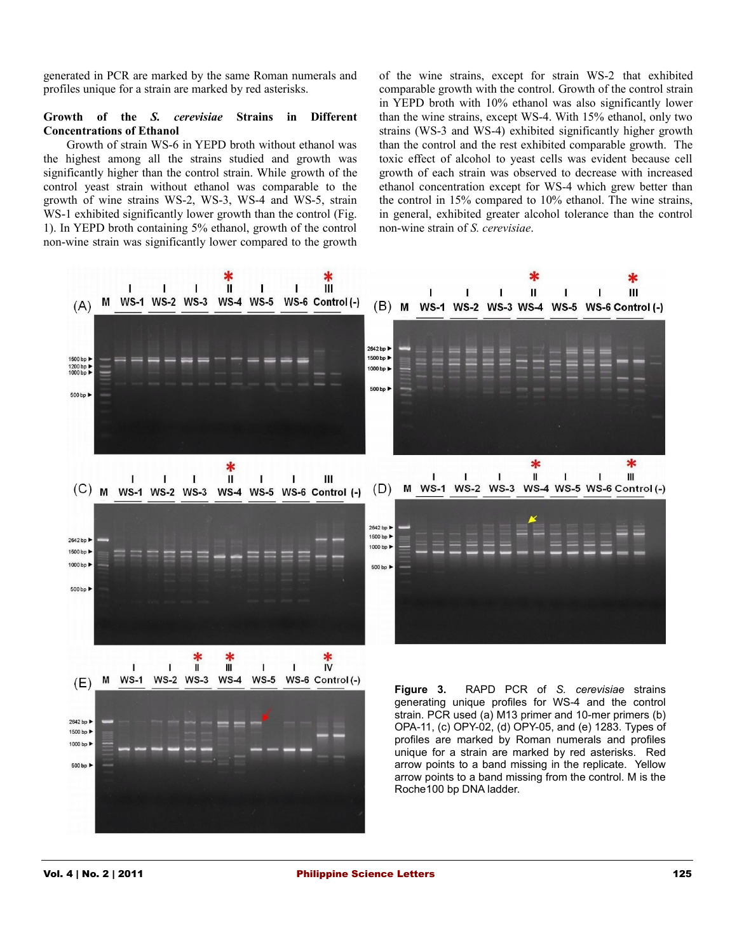generated in PCR are marked by the same Roman numerals and profiles unique for a strain are marked by red asterisks.

# **Growth of the** *S. cerevisiae* **Strains in Different Concentrations of Ethanol**

Growth of strain WS-6 in YEPD broth without ethanol was the highest among all the strains studied and growth was significantly higher than the control strain. While growth of the control yeast strain without ethanol was comparable to the growth of wine strains WS-2, WS-3, WS-4 and WS-5, strain WS-1 exhibited significantly lower growth than the control (Fig. 1). In YEPD broth containing 5% ethanol, growth of the control non-wine strain was significantly lower compared to the growth of the wine strains, except for strain WS-2 that exhibited comparable growth with the control. Growth of the control strain in YEPD broth with 10% ethanol was also significantly lower than the wine strains, except WS-4. With 15% ethanol, only two strains (WS-3 and WS-4) exhibited significantly higher growth than the control and the rest exhibited comparable growth. The toxic effect of alcohol to yeast cells was evident because cell growth of each strain was observed to decrease with increased ethanol concentration except for WS-4 which grew better than the control in 15% compared to 10% ethanol. The wine strains, in general, exhibited greater alcohol tolerance than the control non-wine strain of *S. cerevisiae*.

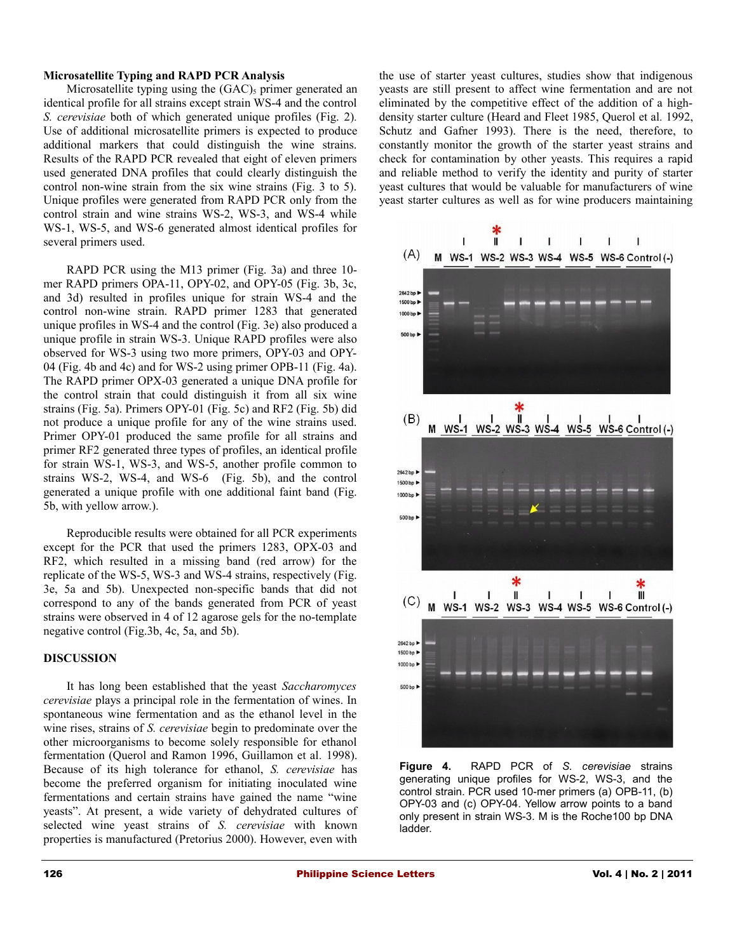#### **Microsatellite Typing and RAPD PCR Analysis**

Microsatellite typing using the  $(GAC)_{5}$  primer generated an identical profile for all strains except strain WS-4 and the control *S. cerevisiae* both of which generated unique profiles (Fig. 2)*.* Use of additional microsatellite primers is expected to produce additional markers that could distinguish the wine strains. Results of the RAPD PCR revealed that eight of eleven primers used generated DNA profiles that could clearly distinguish the control non-wine strain from the six wine strains (Fig. 3 to 5). Unique profiles were generated from RAPD PCR only from the control strain and wine strains WS-2, WS-3, and WS-4 while WS-1, WS-5, and WS-6 generated almost identical profiles for several primers used.

RAPD PCR using the M13 primer (Fig. 3a) and three 10 mer RAPD primers OPA-11, OPY-02, and OPY-05 (Fig. 3b, 3c, and 3d) resulted in profiles unique for strain WS-4 and the control non-wine strain. RAPD primer 1283 that generated unique profiles in WS-4 and the control (Fig. 3e) also produced a unique profile in strain WS-3. Unique RAPD profiles were also observed for WS-3 using two more primers, OPY-03 and OPY-04 (Fig. 4b and 4c) and for WS-2 using primer OPB-11 (Fig. 4a). The RAPD primer OPX-03 generated a unique DNA profile for the control strain that could distinguish it from all six wine strains (Fig. 5a). Primers OPY-01 (Fig. 5c) and RF2 (Fig. 5b) did not produce a unique profile for any of the wine strains used. Primer OPY-01 produced the same profile for all strains and primer RF2 generated three types of profiles, an identical profile for strain WS-1, WS-3, and WS-5, another profile common to strains WS-2, WS-4, and WS-6 (Fig. 5b), and the control generated a unique profile with one additional faint band (Fig. 5b, with yellow arrow.).

Reproducible results were obtained for all PCR experiments except for the PCR that used the primers 1283, OPX-03 and RF2, which resulted in a missing band (red arrow) for the replicate of the WS-5, WS-3 and WS-4 strains, respectively (Fig. 3e, 5a and 5b). Unexpected non-specific bands that did not correspond to any of the bands generated from PCR of yeast strains were observed in 4 of 12 agarose gels for the no-template negative control (Fig.3b, 4c, 5a, and 5b).

# **DISCUSSION**

It has long been established that the yeast *Saccharomyces cerevisiae* plays a principal role in the fermentation of wines. In spontaneous wine fermentation and as the ethanol level in the wine rises, strains of *S. cerevisiae* begin to predominate over the other microorganisms to become solely responsible for ethanol fermentation (Querol and Ramon 1996, Guillamon et al*.* 1998). Because of its high tolerance for ethanol, *S. cerevisiae* has become the preferred organism for initiating inoculated wine fermentations and certain strains have gained the name "wine yeasts". At present, a wide variety of dehydrated cultures of selected wine yeast strains of *S. cerevisiae* with known properties is manufactured (Pretorius 2000). However, even with the use of starter yeast cultures, studies show that indigenous yeasts are still present to affect wine fermentation and are not eliminated by the competitive effect of the addition of a highdensity starter culture (Heard and Fleet 1985, Querol et al*.* 1992, Schutz and Gafner 1993). There is the need, therefore, to constantly monitor the growth of the starter yeast strains and check for contamination by other yeasts. This requires a rapid and reliable method to verify the identity and purity of starter yeast cultures that would be valuable for manufacturers of wine yeast starter cultures as well as for wine producers maintaining



**Figure 4.** RAPD PCR of *S. cerevisiae* strains generating unique profiles for WS-2, WS-3, and the control strain. PCR used 10-mer primers (a) OPB-11, (b) OPY-03 and (c) OPY-04. Yellow arrow points to a band only present in strain WS-3. M is the Roche100 bp DNA ladder.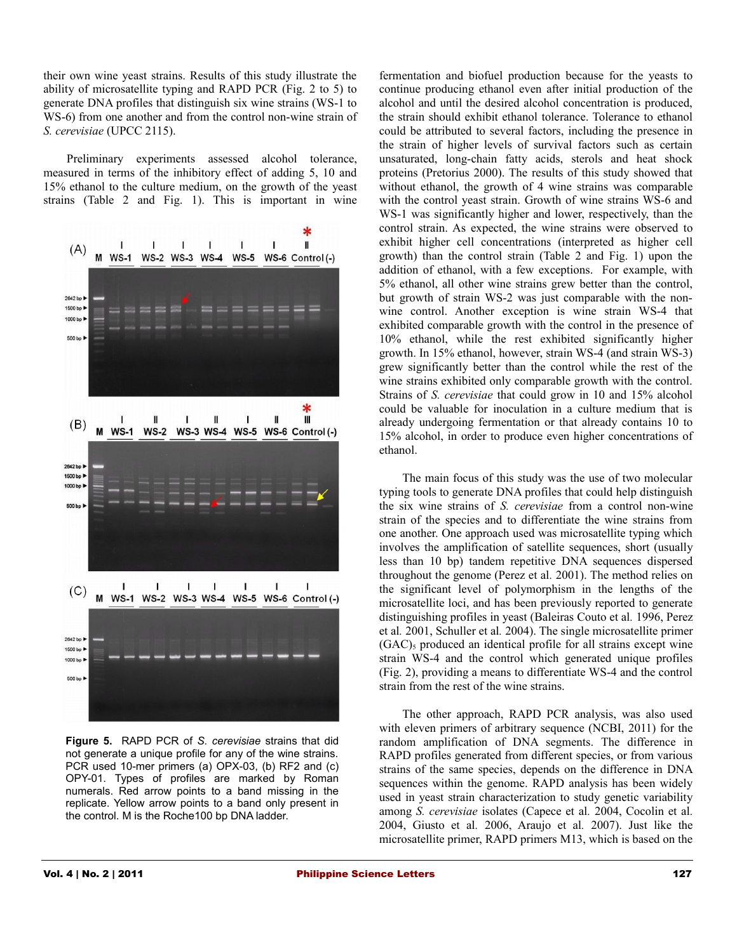their own wine yeast strains. Results of this study illustrate the ability of microsatellite typing and RAPD PCR (Fig. 2 to 5) to generate DNA profiles that distinguish six wine strains (WS-1 to WS-6) from one another and from the control non-wine strain of *S. cerevisiae* (UPCC 2115).

Preliminary experiments assessed alcohol tolerance, measured in terms of the inhibitory effect of adding 5, 10 and 15% ethanol to the culture medium, on the growth of the yeast strains (Table 2 and Fig. 1). This is important in wine



**Figure 5.** RAPD PCR of *S. cerevisiae* strains that did not generate a unique profile for any of the wine strains. PCR used 10-mer primers (a) OPX-03, (b) RF2 and (c) OPY-01. Types of profiles are marked by Roman numerals. Red arrow points to a band missing in the replicate. Yellow arrow points to a band only present in the control. M is the Roche100 bp DNA ladder.

fermentation and biofuel production because for the yeasts to continue producing ethanol even after initial production of the alcohol and until the desired alcohol concentration is produced, the strain should exhibit ethanol tolerance. Tolerance to ethanol could be attributed to several factors, including the presence in the strain of higher levels of survival factors such as certain unsaturated, long-chain fatty acids, sterols and heat shock proteins (Pretorius 2000). The results of this study showed that without ethanol, the growth of 4 wine strains was comparable with the control yeast strain. Growth of wine strains WS-6 and WS-1 was significantly higher and lower, respectively, than the control strain. As expected, the wine strains were observed to exhibit higher cell concentrations (interpreted as higher cell growth) than the control strain (Table 2 and Fig. 1) upon the addition of ethanol, with a few exceptions. For example, with 5% ethanol, all other wine strains grew better than the control, but growth of strain WS-2 was just comparable with the nonwine control. Another exception is wine strain WS-4 that exhibited comparable growth with the control in the presence of 10% ethanol, while the rest exhibited significantly higher growth. In 15% ethanol, however, strain WS-4 (and strain WS-3) grew significantly better than the control while the rest of the wine strains exhibited only comparable growth with the control. Strains of *S. cerevisiae* that could grow in 10 and 15% alcohol could be valuable for inoculation in a culture medium that is already undergoing fermentation or that already contains 10 to 15% alcohol, in order to produce even higher concentrations of ethanol.

The main focus of this study was the use of two molecular typing tools to generate DNA profiles that could help distinguish the six wine strains of *S. cerevisiae* from a control non-wine strain of the species and to differentiate the wine strains from one another. One approach used was microsatellite typing which involves the amplification of satellite sequences, short (usually less than 10 bp) tandem repetitive DNA sequences dispersed throughout the genome (Perez et al*.* 2001). The method relies on the significant level of polymorphism in the lengths of the microsatellite loci, and has been previously reported to generate distinguishing profiles in yeast (Baleiras Couto et al*.* 1996, Perez et al*.* 2001, Schuller et al*.* 2004). The single microsatellite primer  $(GAC)$ <sub>5</sub> produced an identical profile for all strains except wine strain WS-4 and the control which generated unique profiles (Fig. 2), providing a means to differentiate WS-4 and the control strain from the rest of the wine strains.

The other approach, RAPD PCR analysis, was also used with eleven primers of arbitrary sequence (NCBI, 2011) for the random amplification of DNA segments. The difference in RAPD profiles generated from different species, or from various strains of the same species, depends on the difference in DNA sequences within the genome. RAPD analysis has been widely used in yeast strain characterization to study genetic variability among *S. cerevisiae* isolates (Capece et al*.* 2004, Cocolin et al*.* 2004, Giusto et al*.* 2006, Araujo et al*.* 2007). Just like the microsatellite primer, RAPD primers M13, which is based on the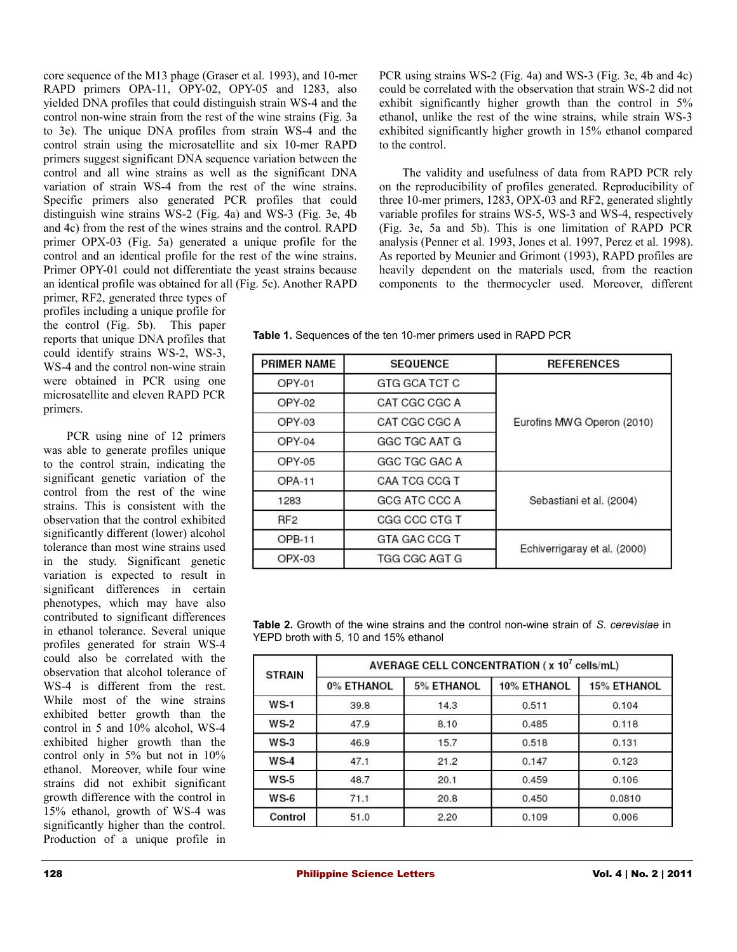core sequence of the M13 phage (Graser et al*.* 1993), and 10-mer RAPD primers OPA-11, OPY-02, OPY-05 and 1283, also yielded DNA profiles that could distinguish strain WS-4 and the control non-wine strain from the rest of the wine strains (Fig. 3a to 3e). The unique DNA profiles from strain WS-4 and the control strain using the microsatellite and six 10-mer RAPD primers suggest significant DNA sequence variation between the control and all wine strains as well as the significant DNA variation of strain WS-4 from the rest of the wine strains. Specific primers also generated PCR profiles that could distinguish wine strains WS-2 (Fig. 4a) and WS-3 (Fig. 3e, 4b and 4c) from the rest of the wines strains and the control. RAPD primer OPX-03 (Fig. 5a) generated a unique profile for the control and an identical profile for the rest of the wine strains. Primer OPY-01 could not differentiate the yeast strains because an identical profile was obtained for all (Fig. 5c). Another RAPD

primer, RF2, generated three types of profiles including a unique profile for the control (Fig. 5b). This paper reports that unique DNA profiles that could identify strains WS-2, WS-3, WS-4 and the control non-wine strain were obtained in PCR using one microsatellite and eleven RAPD PCR primers.

PCR using nine of 12 primers was able to generate profiles unique to the control strain, indicating the significant genetic variation of the control from the rest of the wine strains. This is consistent with the observation that the control exhibited significantly different (lower) alcohol tolerance than most wine strains used in the study. Significant genetic variation is expected to result in significant differences in certain phenotypes, which may have also contributed to significant differences in ethanol tolerance. Several unique profiles generated for strain WS-4 could also be correlated with the observation that alcohol tolerance of WS-4 is different from the rest. While most of the wine strains exhibited better growth than the control in 5 and 10% alcohol, WS-4 exhibited higher growth than the control only in 5% but not in 10% ethanol. Moreover, while four wine strains did not exhibit significant growth difference with the control in 15% ethanol, growth of WS-4 was significantly higher than the control. Production of a unique profile in

PCR using strains WS-2 (Fig. 4a) and WS-3 (Fig. 3e, 4b and 4c) could be correlated with the observation that strain WS-2 did not exhibit significantly higher growth than the control in 5% ethanol, unlike the rest of the wine strains, while strain WS-3 exhibited significantly higher growth in 15% ethanol compared to the control.

The validity and usefulness of data from RAPD PCR rely on the reproducibility of profiles generated. Reproducibility of three 10-mer primers, 1283, OPX-03 and RF2, generated slightly variable profiles for strains WS-5, WS-3 and WS-4, respectively (Fig. 3e, 5a and 5b). This is one limitation of RAPD PCR analysis (Penner et al*.* 1993, Jones et al*.* 1997, Perez et al*.* 1998). As reported by Meunier and Grimont (1993), RAPD profiles are heavily dependent on the materials used, from the reaction components to the thermocycler used. Moreover, different

**Table 1.** Sequences of the ten 10-mer primers used in RAPD PCR

| <b>PRIMER NAME</b><br><b>SEQUENCE</b> |               | <b>REFERENCES</b>            |  |
|---------------------------------------|---------------|------------------------------|--|
| $OPY-01$                              | GTG GCA TCT C |                              |  |
| OPY-02                                | CAT CGC CGC A |                              |  |
| $OPY-03$                              | CAT CGC CGC A | Eurofins MWG Operon (2010)   |  |
| $OPY-04$                              | GGC TGC AAT G |                              |  |
| OPY-05                                | GGC TGC GAC A |                              |  |
| OPA-11                                | CAA TCG CCG T |                              |  |
| 1283                                  | GCG ATC CCC A | Sebastiani et al. (2004)     |  |
| RF <sub>2</sub>                       | CGG CCC CTG T |                              |  |
| OPB-11                                | GTA GAC CCG T | Echiverrigaray et al. (2000) |  |
| $OPX-03$                              | TGG CGC AGT G |                              |  |

**Table 2.** Growth of the wine strains and the control non-wine strain of *S. cerevisiae* in YEPD broth with 5, 10 and 15% ethanol

| <b>STRAIN</b> | AVERAGE CELL CONCENTRATION ( $x$ 10 <sup>7</sup> cells/mL) |            |             |                    |  |
|---------------|------------------------------------------------------------|------------|-------------|--------------------|--|
|               | 0% ETHANOL                                                 | 5% ETHANOL | 10% ETHANOL | <b>15% ETHANOL</b> |  |
| $WS-1$        | 39.8                                                       | 14.3       | 0.511       | 0.104              |  |
| $WS-2$        | 47.9                                                       | 8.10       | 0.485       | 0.118              |  |
| $WS-3$        | 46.9                                                       | 15.7       | 0.518       | 0.131              |  |
| $WS-4$        | 47.1                                                       | 21.2       | 0.147       | 0.123              |  |
| $WS-5$        | 48.7                                                       | 20.1       | 0.459       | 0.106              |  |
| $WS-6$        | 71.1                                                       | 20.8       | 0.450       | 0.0810             |  |
| Control       | 51.0                                                       | 2.20       | 0.109       | 0.006              |  |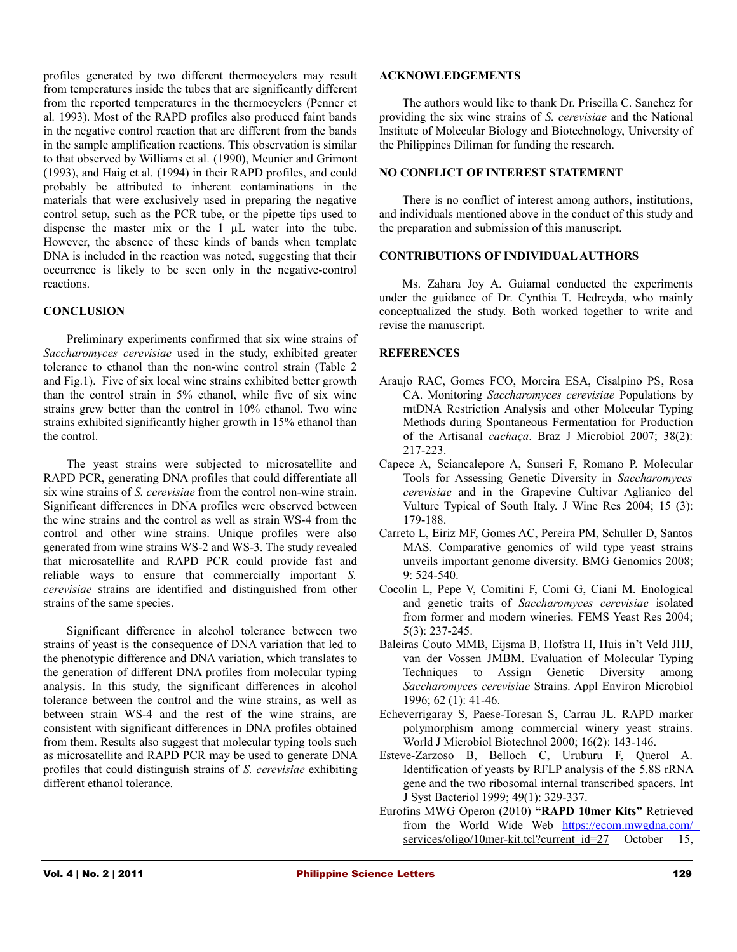profiles generated by two different thermocyclers may result from temperatures inside the tubes that are significantly different from the reported temperatures in the thermocyclers (Penner et al*.* 1993). Most of the RAPD profiles also produced faint bands in the negative control reaction that are different from the bands in the sample amplification reactions. This observation is similar to that observed by Williams et al*.* (1990), Meunier and Grimont (1993), and Haig et al*.* (1994) in their RAPD profiles, and could probably be attributed to inherent contaminations in the materials that were exclusively used in preparing the negative control setup, such as the PCR tube, or the pipette tips used to dispense the master mix or the 1 µL water into the tube. However, the absence of these kinds of bands when template DNA is included in the reaction was noted, suggesting that their occurrence is likely to be seen only in the negative-control reactions.

# **CONCLUSION**

Preliminary experiments confirmed that six wine strains of *Saccharomyces cerevisiae* used in the study, exhibited greater tolerance to ethanol than the non-wine control strain (Table 2 and Fig.1). Five of six local wine strains exhibited better growth than the control strain in 5% ethanol, while five of six wine strains grew better than the control in 10% ethanol. Two wine strains exhibited significantly higher growth in 15% ethanol than the control.

The yeast strains were subjected to microsatellite and RAPD PCR, generating DNA profiles that could differentiate all six wine strains of *S. cerevisiae* from the control non-wine strain. Significant differences in DNA profiles were observed between the wine strains and the control as well as strain WS-4 from the control and other wine strains. Unique profiles were also generated from wine strains WS-2 and WS-3. The study revealed that microsatellite and RAPD PCR could provide fast and reliable ways to ensure that commercially important *S. cerevisiae* strains are identified and distinguished from other strains of the same species.

Significant difference in alcohol tolerance between two strains of yeast is the consequence of DNA variation that led to the phenotypic difference and DNA variation, which translates to the generation of different DNA profiles from molecular typing analysis. In this study, the significant differences in alcohol tolerance between the control and the wine strains, as well as between strain WS-4 and the rest of the wine strains, are consistent with significant differences in DNA profiles obtained from them. Results also suggest that molecular typing tools such as microsatellite and RAPD PCR may be used to generate DNA profiles that could distinguish strains of *S. cerevisiae* exhibiting different ethanol tolerance.

#### **ACKNOWLEDGEMENTS**

The authors would like to thank Dr. Priscilla C. Sanchez for providing the six wine strains of *S. cerevisiae* and the National Institute of Molecular Biology and Biotechnology, University of the Philippines Diliman for funding the research.

# **NO CONFLICT OF INTEREST STATEMENT**

There is no conflict of interest among authors, institutions, and individuals mentioned above in the conduct of this study and the preparation and submission of this manuscript.

#### **CONTRIBUTIONS OF INDIVIDUAL AUTHORS**

Ms. Zahara Joy A. Guiamal conducted the experiments under the guidance of Dr. Cynthia T. Hedreyda, who mainly conceptualized the study. Both worked together to write and revise the manuscript.

# **REFERENCES**

- Araujo RAC, Gomes FCO, Moreira ESA, Cisalpino PS, Rosa CA. Monitoring *Saccharomyces cerevisiae* Populations by mtDNA Restriction Analysis and other Molecular Typing Methods during Spontaneous Fermentation for Production of the Artisanal *cachaça*. Braz J Microbiol 2007; 38(2): 217-223.
- Capece A, Sciancalepore A, Sunseri F, Romano P. Molecular Tools for Assessing Genetic Diversity in *Saccharomyces cerevisiae* and in the Grapevine Cultivar Aglianico del Vulture Typical of South Italy. J Wine Res 2004; 15 (3): 179-188.
- Carreto L, Eiriz MF, Gomes AC, Pereira PM, Schuller D, Santos MAS. Comparative genomics of wild type yeast strains unveils important genome diversity. BMG Genomics 2008; 9: 524-540.
- Cocolin L, Pepe V, Comitini F, Comi G, Ciani M. Enological and genetic traits of *Saccharomyces cerevisiae* isolated from former and modern wineries. FEMS Yeast Res 2004; 5(3): 237-245.
- Baleiras Couto MMB, Eijsma B, Hofstra H, Huis in't Veld JHJ, van der Vossen JMBM. Evaluation of Molecular Typing Techniques to Assign Genetic Diversity among *Saccharomyces cerevisiae* Strains. Appl Environ Microbiol 1996; 62 (1): 41-46.
- Echeverrigaray S, Paese-Toresan S, Carrau JL. RAPD marker polymorphism among commercial winery yeast strains. World J Microbiol Biotechnol 2000; 16(2): 143-146.
- Esteve-Zarzoso B, Belloch C, Uruburu F, Querol A. Identification of yeasts by RFLP analysis of the 5.8S rRNA gene and the two ribosomal internal transcribed spacers. Int J Syst Bacteriol 1999; 49(1): 329-337.
- Eurofins MWG Operon (2010) **"RAPD 10mer Kits"** Retrieved from the World Wide Web<https://ecom.mwgdna.com/> services/oligo/10mer-kit.tcl?current\_id=27 October 15,